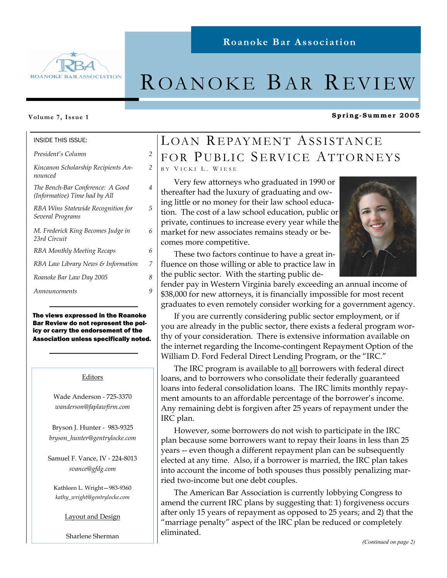

## **Roanoke Bar Association**

# ROANOKE BAR REVIEW

#### **Volume 7, Issue 1**

#### INSIDE THIS ISSUE:

*President's Column 2* 

*Kincanon Scholarship Recipients Announced* 

*2* 

*4* 

*5* 

*6* 

*The Bench-Bar Conference: A Good (Informative) Time had by All* 

*RBA Wins Statewide Recognition for Several Programs* 

*M. Frederick King Becomes Judge in 23rd Circuit* 

*RBA Monthly Meeting Recaps 6* 

*RBA Law Library News & Information 7* 

*Roanoke Bar Law Day 2005 8* 

*Announcements 9* 

The views expressed in the Roanoke Bar Review do not represent the policy or carry the endorsement of the Association unless specifically noted.

#### Editors

Wade Anderson - 725-3370 *wanderson@faplawfirm.com* 

Bryson J. Hunter - 983-9325 *bryson\_hunter@gentrylocke.com* 

Samuel F. Vance, IV - 224-8013 *svance@gfdg.com* 

Kathleen L. Wright—983-9360 *kathy\_wright@gentrylocke.com* 

Layout and Design

Sharlene Sherman

## LOAN REPAYMENT ASSISTANCE FOR PUBLIC SERVICE ATTORNEYS B Y V ICKI L. W IESE

Very few attorneys who graduated in 1990 or thereafter had the luxury of graduating and owing little or no money for their law school education. The cost of a law school education, public or private, continues to increase every year while the market for new associates remains steady or becomes more competitive.



**Spring-Summer 2005** 

These two factors continue to have a great influence on those willing or able to practice law in the public sector. With the starting public de-

fender pay in Western Virginia barely exceeding an annual income of \$38,000 for new attorneys, it is financially impossible for most recent graduates to even remotely consider working for a government agency.

If you are currently considering public sector employment, or if you are already in the public sector, there exists a federal program worthy of your consideration. There is extensive information available on the internet regarding the Income-contingent Repayment Option of the William D. Ford Federal Direct Lending Program, or the "IRC."

The IRC program is available to all borrowers with federal direct loans, and to borrowers who consolidate their federally guaranteed loans into federal consolidation loans. The IRC limits monthly repayment amounts to an affordable percentage of the borrower's income. Any remaining debt is forgiven after 25 years of repayment under the IRC plan.

However, some borrowers do not wish to participate in the IRC plan because some borrowers want to repay their loans in less than 25 years -- even though a different repayment plan can be subsequently elected at any time. Also, if a borrower is married, the IRC plan takes into account the income of both spouses thus possibly penalizing married two-income but one debt couples.

The American Bar Association is currently lobbying Congress to amend the current IRC plans by suggesting that: 1) forgiveness occurs after only 15 years of repayment as opposed to 25 years; and 2) that the "marriage penalty" aspect of the IRC plan be reduced or completely eliminated.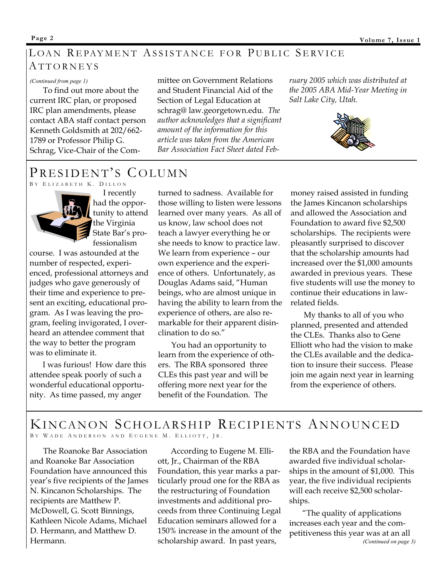## LOAN REPAYMENT ASSISTANCE FOR PUBLIC SERVICE ATTORNEYS

#### *(Continued from page 1)*

To find out more about the current IRC plan, or proposed IRC plan amendments, please contact ABA staff contact person Kenneth Goldsmith at 202/662- 1789 or Professor Philip G. Schrag, Vice-Chair of the Committee on Government Relations and Student Financial Aid of the Section of Legal Education at schrag@ law.georgetown.edu*. The author acknowledges that a significant amount of the information for this article was taken from the American Bar Association Fact Sheet dated Feb-* *ruary 2005 which was distributed at the 2005 ABA Mid-Year Meeting in Salt Lake City, Utah.* 



## PRESIDENT'S COLUMN B Y E LIZABETH K. D ILLON



 I recently had the opportunity to attend the Virginia State Bar's professionalism

course. I was astounded at the number of respected, experienced, professional attorneys and judges who gave generously of their time and experience to present an exciting, educational program. As I was leaving the program, feeling invigorated, I overheard an attendee comment that the way to better the program was to eliminate it.

I was furious! How dare this attendee speak poorly of such a wonderful educational opportunity. As time passed, my anger

turned to sadness. Available for those willing to listen were lessons learned over many years. As all of us know, law school does not teach a lawyer everything he or she needs to know to practice law. We learn from experience – our own experience and the experience of others. Unfortunately, as Douglas Adams said, "Human beings, who are almost unique in having the ability to learn from the experience of others, are also remarkable for their apparent disinclination to do so."

You had an opportunity to learn from the experience of others. The RBA sponsored three CLEs this past year and will be offering more next year for the benefit of the Foundation. The

money raised assisted in funding the James Kincanon scholarships and allowed the Association and Foundation to award five \$2,500 scholarships. The recipients were pleasantly surprised to discover that the scholarship amounts had increased over the \$1,000 amounts awarded in previous years. These five students will use the money to continue their educations in lawrelated fields.

My thanks to all of you who planned, presented and attended the CLEs. Thanks also to Gene Elliott who had the vision to make the CLEs available and the dedication to insure their success. Please join me again next year in learning from the experience of others.

## KINCANON SCHOLARSHIP RECIPIENTS ANNOUNCED BY WADE ANDERSON AND EUGENE M. ELLIOTT, IR.

The Roanoke Bar Association and Roanoke Bar Association Foundation have announced this year's five recipients of the James N. Kincanon Scholarships. The recipients are Matthew P. McDowell, G. Scott Binnings, Kathleen Nicole Adams, Michael D. Hermann, and Matthew D. Hermann.

According to Eugene M. Elliott, Jr., Chairman of the RBA Foundation, this year marks a particularly proud one for the RBA as the restructuring of Foundation investments and additional proceeds from three Continuing Legal Education seminars allowed for a 150% increase in the amount of the scholarship award. In past years,

the RBA and the Foundation have awarded five individual scholarships in the amount of \$1,000. This year, the five individual recipients will each receive \$2,500 scholarships.

"The quality of applications increases each year and the competitiveness this year was at an all *(Continued on page 3)*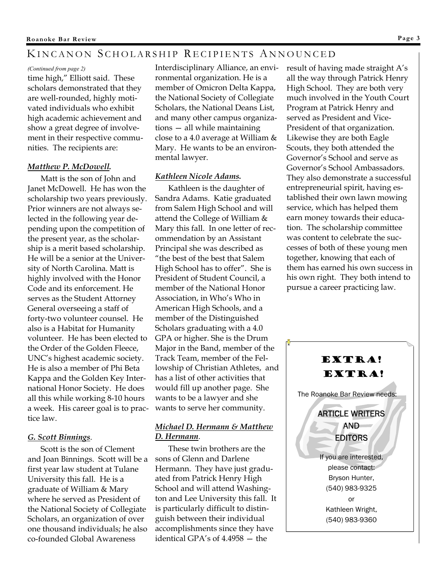## KINCANON SCHOLARSHIP RECIPIENTS ANNOUNCED

#### *(Continued from page 2)*

time high," Elliott said. These scholars demonstrated that they are well-rounded, highly motivated individuals who exhibit high academic achievement and show a great degree of involvement in their respective communities. The recipients are:

## *Matthew P. McDowell.*

Matt is the son of John and Janet McDowell. He has won the scholarship two years previously. Prior winners are not always selected in the following year depending upon the competition of the present year, as the scholarship is a merit based scholarship. He will be a senior at the University of North Carolina. Matt is highly involved with the Honor Code and its enforcement. He serves as the Student Attorney General overseeing a staff of forty-two volunteer counsel. He also is a Habitat for Humanity volunteer. He has been elected to the Order of the Golden Fleece, UNC's highest academic society. He is also a member of Phi Beta Kappa and the Golden Key International Honor Society. He does all this while working 8-10 hours a week. His career goal is to practice law.

## *G. Scott Binnings*.

Scott is the son of Clement and Joan Binnings. Scott will be a first year law student at Tulane University this fall. He is a graduate of William & Mary where he served as President of the National Society of Collegiate Scholars, an organization of over one thousand individuals; he also co-founded Global Awareness

Interdisciplinary Alliance, an environmental organization. He is a member of Omicron Delta Kappa, the National Society of Collegiate Scholars, the National Deans List, and many other campus organizations — all while maintaining close to a 4.0 average at William & Mary. He wants to be an environmental lawyer.

## *Kathleen Nicole Adams.*

Kathleen is the daughter of Sandra Adams. Katie graduated from Salem High School and will attend the College of William & Mary this fall. In one letter of recommendation by an Assistant Principal she was described as "the best of the best that Salem High School has to offer". She is President of Student Council, a member of the National Honor Association, in Who's Who in American High Schools, and a member of the Distinguished Scholars graduating with a 4.0 GPA or higher. She is the Drum Major in the Band, member of the Track Team, member of the Fellowship of Christian Athletes, and has a list of other activities that would fill up another page. She wants to be a lawyer and she wants to serve her community.

## *Michael D. Hermann & Matthew D. Hermann*.

These twin brothers are the sons of Glenn and Darlene Hermann. They have just graduated from Patrick Henry High School and will attend Washington and Lee University this fall. It is particularly difficult to distinguish between their individual accomplishments since they have identical GPA's of 4.4958 — the

result of having made straight A's all the way through Patrick Henry High School. They are both very much involved in the Youth Court Program at Patrick Henry and served as President and Vice-President of that organization. Likewise they are both Eagle Scouts, they both attended the Governor's School and serve as Governor's School Ambassadors. They also demonstrate a successful entrepreneurial spirit, having established their own lawn mowing service, which has helped them earn money towards their education. The scholarship committee was content to celebrate the successes of both of these young men together, knowing that each of them has earned his own success in his own right. They both intend to pursue a career practicing law.

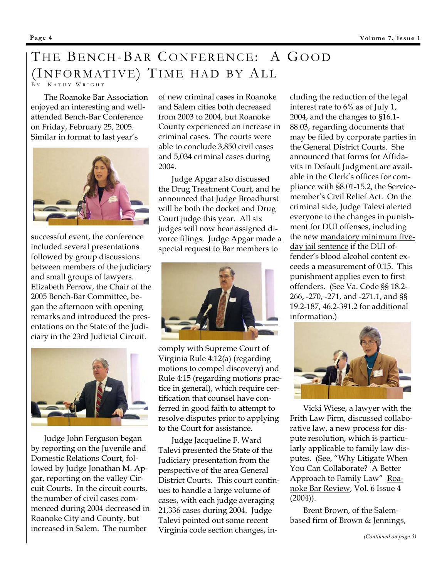# THE BENCH-BAR CONFERENCE: A GOOD (INFORMATIVE) TIME HAD BY ALL

B Y K ATHY W RIGHT

The Roanoke Bar Association enjoyed an interesting and wellattended Bench-Bar Conference on Friday, February 25, 2005. Similar in format to last year's



successful event, the conference included several presentations followed by group discussions between members of the judiciary and small groups of lawyers. Elizabeth Perrow, the Chair of the 2005 Bench-Bar Committee, began the afternoon with opening remarks and introduced the presentations on the State of the Judiciary in the 23rd Judicial Circuit.



Judge John Ferguson began by reporting on the Juvenile and Domestic Relations Court, followed by Judge Jonathan M. Apgar, reporting on the valley Circuit Courts. In the circuit courts, the number of civil cases commenced during 2004 decreased in Roanoke City and County, but increased in Salem. The number

of new criminal cases in Roanoke and Salem cities both decreased from 2003 to 2004, but Roanoke County experienced an increase in criminal cases. The courts were able to conclude 3,850 civil cases and 5,034 criminal cases during 2004.

Judge Apgar also discussed the Drug Treatment Court, and he announced that Judge Broadhurst will be both the docket and Drug Court judge this year. All six judges will now hear assigned divorce filings. Judge Apgar made a special request to Bar members to



comply with Supreme Court of Virginia Rule 4:12(a) (regarding motions to compel discovery) and Rule 4:15 (regarding motions practice in general), which require certification that counsel have conferred in good faith to attempt to resolve disputes prior to applying to the Court for assistance.

Judge Jacqueline F. Ward Talevi presented the State of the Judiciary presentation from the perspective of the area General District Courts. This court continues to handle a large volume of cases, with each judge averaging 21,336 cases during 2004. Judge Talevi pointed out some recent Virginia code section changes, in-

cluding the reduction of the legal interest rate to 6% as of July 1, 2004, and the changes to §16.1- 88.03, regarding documents that may be filed by corporate parties in the General District Courts. She announced that forms for Affidavits in Default Judgment are available in the Clerk's offices for compliance with §8.01-15.2, the Servicemember's Civil Relief Act. On the criminal side, Judge Talevi alerted everyone to the changes in punishment for DUI offenses, including the new mandatory minimum fiveday jail sentence if the DUI offender's blood alcohol content exceeds a measurement of 0.15. This punishment applies even to first offenders. (See Va. Code §§ 18.2- 266, -270, -271, and -271.1, and §§ 19.2-187, 46.2-391.2 for additional information.)



Vicki Wiese, a lawyer with the Frith Law Firm, discussed collaborative law, a new process for dispute resolution, which is particularly applicable to family law disputes. (See, "Why Litigate When You Can Collaborate? A Better Approach to Family Law" Roanoke Bar Review, Vol. 6 Issue 4  $(2004)$ ).

Brent Brown, of the Salembased firm of Brown & Jennings,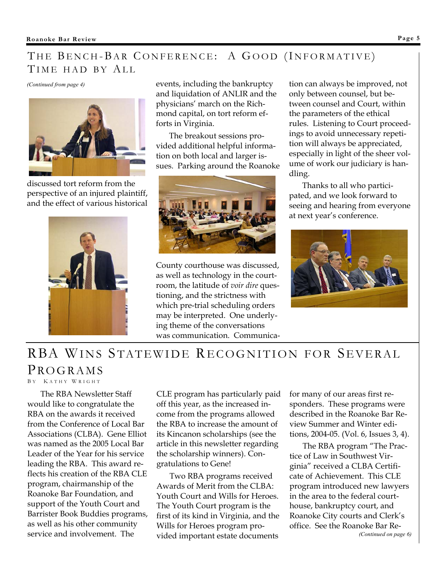## THE BENCH-BAR CONFERENCE: A GOOD (INFORMATIVE) TIME HAD BY ALL



discussed tort reform from the perspective of an injured plaintiff, and the effect of various historical



events, including the bankruptcy and liquidation of ANLIR and the physicians' march on the Richmond capital, on tort reform efforts in Virginia.

The breakout sessions provided additional helpful information on both local and larger issues. Parking around the Roanoke



County courthouse was discussed, as well as technology in the courtroom, the latitude of *voir dire* questioning, and the strictness with which pre-trial scheduling orders may be interpreted. One underlying theme of the conversations was communication. Communica-

*(Continued from page 4)* **events, including the bankruptcy tion can always be improved, not** only between counsel, but between counsel and Court, within the parameters of the ethical rules. Listening to Court proceedings to avoid unnecessary repetition will always be appreciated, especially in light of the sheer volume of work our judiciary is handling.

> Thanks to all who participated, and we look forward to seeing and hearing from everyone at next year's conference.



## RBA WINS STATEWIDE RECOGNITION FOR SEVERAL PROGRAMS

B Y K ATHY W RIGHT

The RBA Newsletter Staff would like to congratulate the RBA on the awards it received from the Conference of Local Bar Associations (CLBA). Gene Elliot was named as the 2005 Local Bar Leader of the Year for his service leading the RBA. This award reflects his creation of the RBA CLE program, chairmanship of the Roanoke Bar Foundation, and support of the Youth Court and Barrister Book Buddies programs, as well as his other community service and involvement. The

CLE program has particularly paid off this year, as the increased income from the programs allowed the RBA to increase the amount of its Kincanon scholarships (see the article in this newsletter regarding the scholarship winners). Congratulations to Gene!

Two RBA programs received Awards of Merit from the CLBA: Youth Court and Wills for Heroes. The Youth Court program is the first of its kind in Virginia, and the Wills for Heroes program provided important estate documents

for many of our areas first responders. These programs were described in the Roanoke Bar Review Summer and Winter editions, 2004-05. (Vol. 6, Issues 3, 4).

The RBA program "The Practice of Law in Southwest Virginia" received a CLBA Certificate of Achievement. This CLE program introduced new lawyers in the area to the federal courthouse, bankruptcy court, and Roanoke City courts and Clerk's office. See the Roanoke Bar Re- *(Continued on page 6)*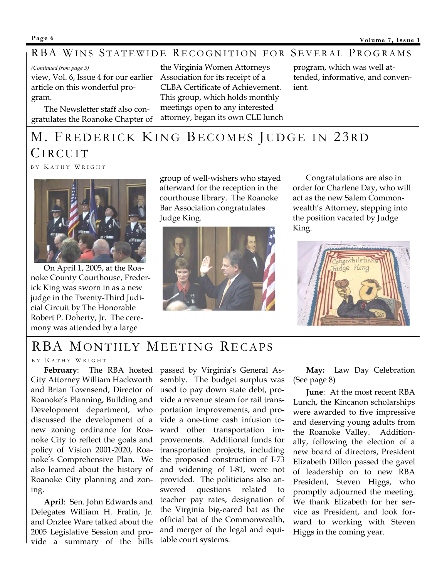## RBA WINS STATEWIDE RECOGNITION FOR SEVERAL PROGRAMS

view, Vol. 6, Issue 4 for our earlier article on this wonderful program.

The Newsletter staff also congratulates the Roanoke Chapter of

*(Continued from page 5) (Continued from page 5) program, which was well at-*Association for its receipt of a CLBA Certificate of Achievement. This group, which holds monthly meetings open to any interested attorney, began its own CLE lunch

tended, informative, and convenient.

# M. FREDERICK KING BECOMES JUDGE IN 23RD CIRCUIT

B Y K ATHY W RIGHT



On April 1, 2005, at the Roanoke County Courthouse, Frederick King was sworn in as a new judge in the Twenty-Third Judicial Circuit by The Honorable Robert P. Doherty, Jr. The ceremony was attended by a large

group of well-wishers who stayed afterward for the reception in the courthouse library. The Roanoke Bar Association congratulates Judge King.



Congratulations are also in order for Charlene Day, who will act as the new Salem Commonwealth's Attorney, stepping into the position vacated by Judge King.



## RBA MONTHLY MEETING RECAPS

#### B Y K ATHY W RIGHT

City Attorney William Hackworth and Brian Townsend, Director of Roanoke's Planning, Building and Development department, who discussed the development of a new zoning ordinance for Roanoke City to reflect the goals and policy of Vision 2001-2020, Roanoke's Comprehensive Plan. We also learned about the history of Roanoke City planning and zoning.

**April**: Sen. John Edwards and Delegates William H. Fralin, Jr. and Onzlee Ware talked about the 2005 Legislative Session and provide a summary of the bills

**February**: The RBA hosted passed by Virginia's General Assembly. The budget surplus was used to pay down state debt, provide a revenue steam for rail transportation improvements, and provide a one-time cash infusion toward other transportation improvements. Additional funds for transportation projects, including the proposed construction of I-73 and widening of I-81, were not provided. The politicians also answered questions related to teacher pay rates, designation of the Virginia big-eared bat as the official bat of the Commonwealth, and merger of the legal and equitable court systems.

**May:** Law Day Celebration (See page 8)

**June**: At the most recent RBA Lunch, the Kincanon scholarships were awarded to five impressive and deserving young adults from the Roanoke Valley. Additionally, following the election of a new board of directors, President Elizabeth Dillon passed the gavel of leadership on to new RBA President, Steven Higgs, who promptly adjourned the meeting. We thank Elizabeth for her service as President, and look forward to working with Steven Higgs in the coming year.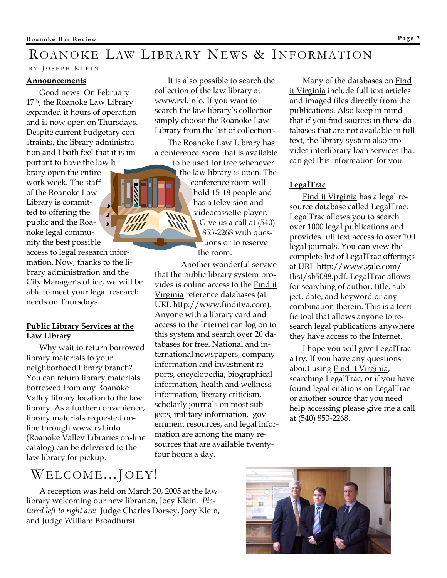## ROANOKE LAW LIBRARY NEWS & INFORMATION

#### B Y J OSEPH K LEIN

#### **Announcements**

Good news! On February 17th, the Roanoke Law Library expanded it hours of operation and is now open on Thursdays. Despite current budgetary constraints, the library administration and I both feel that it is important to have the law li-

brary open the entire work week. The staff of the Roanoke Law Library is committed to offering the public and the Roanoke legal community the best possible

access to legal research information. Now, thanks to the library administration and the City Manager's office, we will be able to meet your legal research needs on Thursdays.

## **Public Library Services at the Law Library**

Why wait to return borrowed library materials to your neighborhood library branch? You can return library materials borrowed from any Roanoke Valley library location to the law library. As a further convenience, library materials requested online through www.rvl.info (Roanoke Valley Libraries on-line catalog) can be delivered to the law library for pickup.

It is also possible to search the collection of the law library at www.rvl.info. If you want to search the law library's collection simply choose the Roanoke Law Library from the list of collections.

The Roanoke Law Library has a conference room that is available

to be used for free whenever the law library is open. The conference room will hold 15-18 people and has a television and videocassette player. Give us a call at (540) 853-2268 with questions or to reserve the room.

 Another wonderful service that the public library system provides is online access to the Find it Virginia reference databases (at URL http://www.finditva.com). Anyone with a library card and access to the Internet can log on to this system and search over 20 databases for free. National and international newspapers, company information and investment reports, encyclopedia, biographical information, health and wellness information, literary criticism, scholarly journals on most subjects, military information, government resources, and legal information are among the many resources that are available twentyfour hours a day.

Many of the databases on Find it Virginia include full text articles and imaged files directly from the publications. Also keep in mind that if you find sources in these databases that are not available in full text, the library system also provides interlibrary loan services that can get this information for you.

## **LegalTrac**

Find it Virginia has a legal resource database called LegalTrac. LegalTrac allows you to search over 1000 legal publications and provides full text access to over 100 legal journals. You can view the complete list of LegalTrac offerings at URL http://www.gale.com/ tlist/sb5088.pdf. LegalTrac allows for searching of author, title, subject, date, and keyword or any combination therein. This is a terrific tool that allows anyone to research legal publications anywhere they have access to the Internet.

I hope you will give LegalTrac a try. If you have any questions about using Find it Virginia, searching LegalTrac, or if you have found legal citations on LegalTrac or another source that you need help accessing please give me a call at (540) 853-2268.

## WELCOME...JOEY!

A reception was held on March 30, 2005 at the law library welcoming our new librarian, Joey Klein. *Pictured left to right are:* Judge Charles Dorsey, Joey Klein, and Judge William Broadhurst.

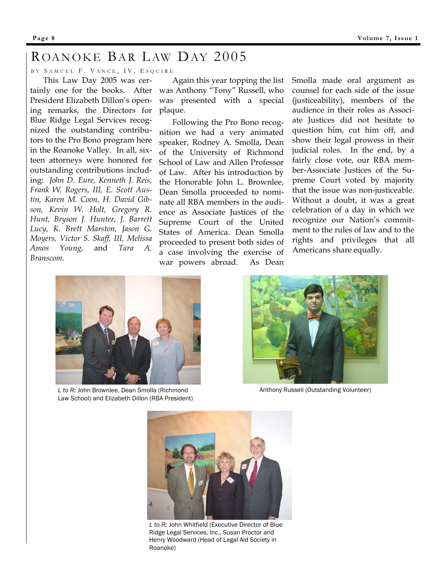## ROANOKE BAR LAW DAY 2005

BY SAMUEL F. VANCE, IV, ESQUIRE

ing remarks, the Directors for plaque. This Law Day 2005 was cer-President Elizabeth Dillon's open-Blue Ridge Legal Services recognized the outstanding contributors to the Pro Bono program here in the Roanoke Valley. In all, sixteen attorneys were honored for outstanding contributions including: *John D. Eure, Kenneth J. Reis, Frank W. Rogers, III, E. Scott Austin, Karen M. Coon, H. David Gibson, Kevin W. Holt, Gregory R. Hunt, Bryson J. Hunter, J. Barrett Lucy, K. Brett Marston, Jason G. Moyers, Victor S. Skaff, III, Melissa Amos Young,* and *Tara A. Branscom.* 

Again this year topping the list tainly one for the books. After was Anthony "Tony" Russell, who was presented with a special

> Following the Pro Bono recognition we had a very animated speaker, Rodney A. Smolla, Dean of the University of Richmond School of Law and Allen Professor of Law. After his introduction by the Honorable John L. Brownlee, Dean Smolla proceeded to nominate all RBA members in the audience as Associate Justices of the Supreme Court of the United States of America. Dean Smolla proceeded to present both sides of a case involving the exercise of war powers abroad. As Dean

Smolla made oral argument as counsel for each side of the issue (justiceability), members of the audience in their roles as Associate Justices did not hesitate to question him, cut him off, and show their legal prowess in their judicial roles. In the end, by a fairly close vote, our RBA member-Associate Justices of the Supreme Court voted by majority that the issue was non-justiceable. Without a doubt, it was a great celebration of a day in which we recognize our Nation's commitment to the rules of law and to the rights and privileges that all Americans share equally.



*L to R:* John Brownlee, Dean Smolla (Richmond Law School) and Elizabeth Dillon (RBA President)



Anthony Russell (Outstanding Volunteer)



*L to R:* John Whitfield (Executive Director of Blue Ridge Legal Services, Inc., Susan Proctor and Henry Woodward (Head of Legal Aid Society in Roanoke)